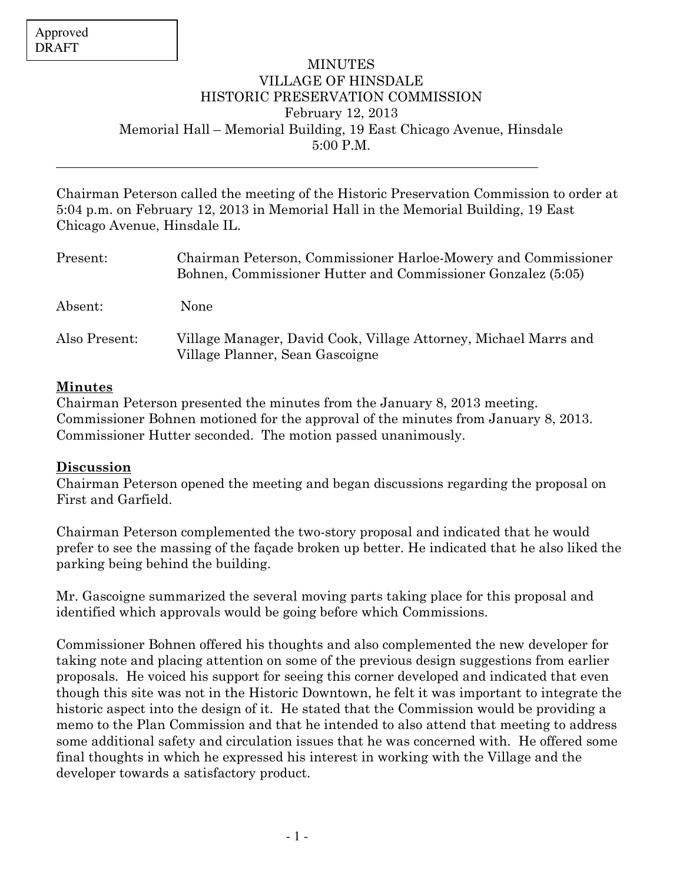$\overline{a}$ 

## MINUTES VILLAGE OF HINSDALE HISTORIC PRESERVATION COMMISSION February 12, 2013 Memorial Hall – Memorial Building, 19 East Chicago Avenue, Hinsdale 5:00 P.M.

Chairman Peterson called the meeting of the Historic Preservation Commission to order at 5:04 p.m. on February 12, 2013 in Memorial Hall in the Memorial Building, 19 East Chicago Avenue, Hinsdale IL.

| Present:      | Chairman Peterson, Commissioner Harloe-Mowery and Commissioner<br>Bohnen, Commissioner Hutter and Commissioner Gonzalez (5:05) |
|---------------|--------------------------------------------------------------------------------------------------------------------------------|
| Absent:       | None                                                                                                                           |
| Also Present: | Village Manager, David Cook, Village Attorney, Michael Marrs and<br>Village Planner, Sean Gascoigne                            |

## Minutes

Chairman Peterson presented the minutes from the January 8, 2013 meeting. Commissioner Bohnen motioned for the approval of the minutes from January 8, 2013. Commissioner Hutter seconded. The motion passed unanimously.

## Discussion

Chairman Peterson opened the meeting and began discussions regarding the proposal on First and Garfield.

Chairman Peterson complemented the two-story proposal and indicated that he would prefer to see the massing of the façade broken up better. He indicated that he also liked the parking being behind the building.

Mr. Gascoigne summarized the several moving parts taking place for this proposal and identified which approvals would be going before which Commissions.

Commissioner Bohnen offered his thoughts and also complemented the new developer for taking note and placing attention on some of the previous design suggestions from earlier proposals. He voiced his support for seeing this corner developed and indicated that even though this site was not in the Historic Downtown, he felt it was important to integrate the historic aspect into the design of it. He stated that the Commission would be providing a memo to the Plan Commission and that he intended to also attend that meeting to address some additional safety and circulation issues that he was concerned with. He offered some final thoughts in which he expressed his interest in working with the Village and the developer towards a satisfactory product.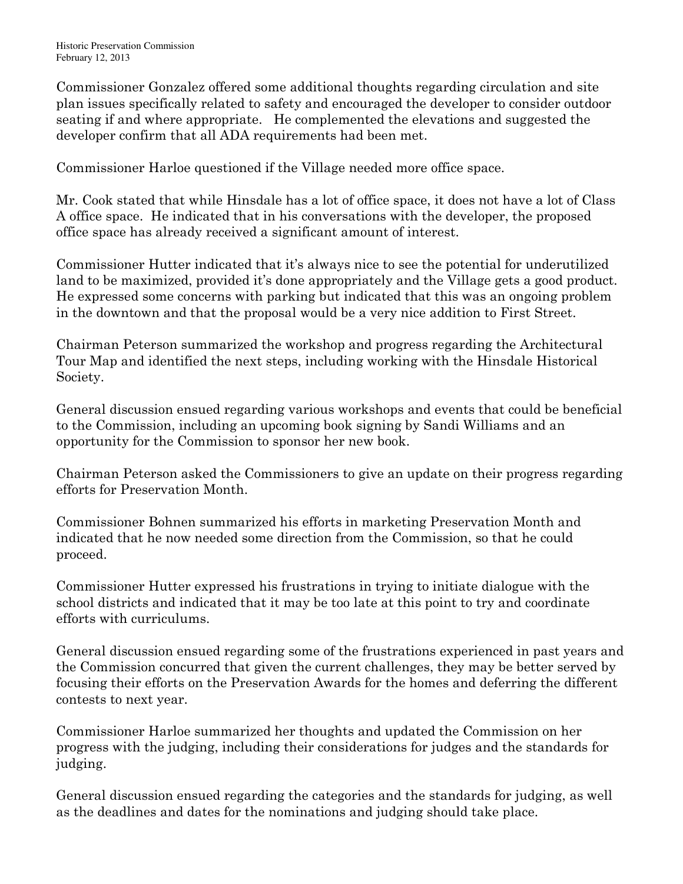Commissioner Gonzalez offered some additional thoughts regarding circulation and site plan issues specifically related to safety and encouraged the developer to consider outdoor seating if and where appropriate. He complemented the elevations and suggested the developer confirm that all ADA requirements had been met.

Commissioner Harloe questioned if the Village needed more office space.

Mr. Cook stated that while Hinsdale has a lot of office space, it does not have a lot of Class A office space. He indicated that in his conversations with the developer, the proposed office space has already received a significant amount of interest.

Commissioner Hutter indicated that it's always nice to see the potential for underutilized land to be maximized, provided it's done appropriately and the Village gets a good product. He expressed some concerns with parking but indicated that this was an ongoing problem in the downtown and that the proposal would be a very nice addition to First Street.

Chairman Peterson summarized the workshop and progress regarding the Architectural Tour Map and identified the next steps, including working with the Hinsdale Historical Society.

General discussion ensued regarding various workshops and events that could be beneficial to the Commission, including an upcoming book signing by Sandi Williams and an opportunity for the Commission to sponsor her new book.

Chairman Peterson asked the Commissioners to give an update on their progress regarding efforts for Preservation Month.

Commissioner Bohnen summarized his efforts in marketing Preservation Month and indicated that he now needed some direction from the Commission, so that he could proceed.

Commissioner Hutter expressed his frustrations in trying to initiate dialogue with the school districts and indicated that it may be too late at this point to try and coordinate efforts with curriculums.

General discussion ensued regarding some of the frustrations experienced in past years and the Commission concurred that given the current challenges, they may be better served by focusing their efforts on the Preservation Awards for the homes and deferring the different contests to next year.

Commissioner Harloe summarized her thoughts and updated the Commission on her progress with the judging, including their considerations for judges and the standards for judging.

General discussion ensued regarding the categories and the standards for judging, as well as the deadlines and dates for the nominations and judging should take place.